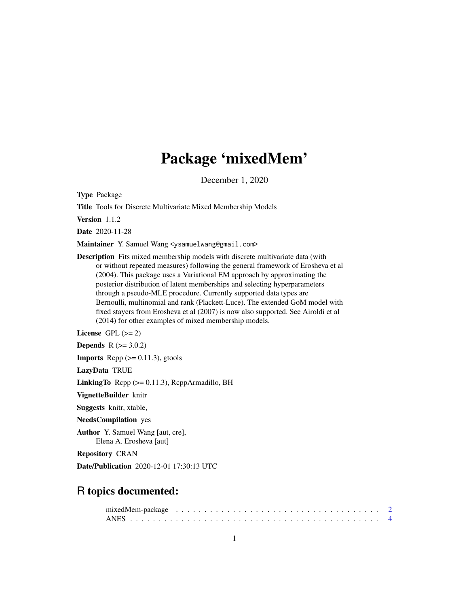# Package 'mixedMem'

December 1, 2020

Type Package

Title Tools for Discrete Multivariate Mixed Membership Models

Version 1.1.2

Date 2020-11-28

Maintainer Y. Samuel Wang <ysamuelwang@gmail.com>

Description Fits mixed membership models with discrete multivariate data (with or without repeated measures) following the general framework of Erosheva et al (2004). This package uses a Variational EM approach by approximating the posterior distribution of latent memberships and selecting hyperparameters through a pseudo-MLE procedure. Currently supported data types are Bernoulli, multinomial and rank (Plackett-Luce). The extended GoM model with fixed stayers from Erosheva et al (2007) is now also supported. See Airoldi et al (2014) for other examples of mixed membership models.

License GPL  $(>= 2)$ 

**Depends**  $R$  ( $>= 3.0.2$ )

**Imports** Rcpp  $(>= 0.11.3)$ , gtools

LazyData TRUE

**LinkingTo** Rcpp  $(>= 0.11.3)$ , RcppArmadillo, BH

VignetteBuilder knitr

Suggests knitr, xtable,

NeedsCompilation yes

Author Y. Samuel Wang [aut, cre], Elena A. Erosheva [aut]

Repository CRAN

Date/Publication 2020-12-01 17:30:13 UTC

# R topics documented: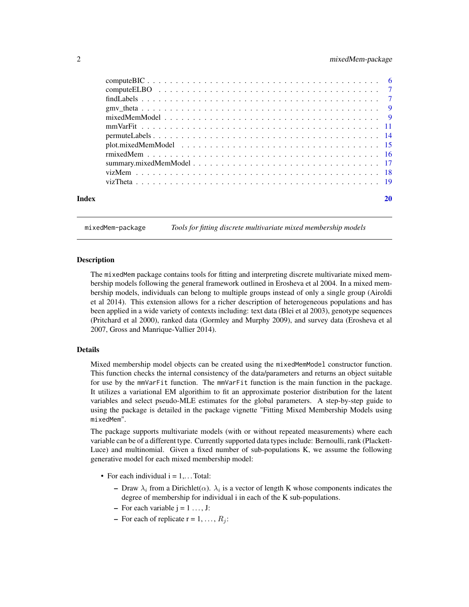# <span id="page-1-0"></span>2 mixedMem-package

| Index |  |  |  |  |  |  |  |  |  |  |  |  |  |  |  |  |
|-------|--|--|--|--|--|--|--|--|--|--|--|--|--|--|--|--|
|       |  |  |  |  |  |  |  |  |  |  |  |  |  |  |  |  |
|       |  |  |  |  |  |  |  |  |  |  |  |  |  |  |  |  |
|       |  |  |  |  |  |  |  |  |  |  |  |  |  |  |  |  |
|       |  |  |  |  |  |  |  |  |  |  |  |  |  |  |  |  |
|       |  |  |  |  |  |  |  |  |  |  |  |  |  |  |  |  |
|       |  |  |  |  |  |  |  |  |  |  |  |  |  |  |  |  |
|       |  |  |  |  |  |  |  |  |  |  |  |  |  |  |  |  |
|       |  |  |  |  |  |  |  |  |  |  |  |  |  |  |  |  |
|       |  |  |  |  |  |  |  |  |  |  |  |  |  |  |  |  |
|       |  |  |  |  |  |  |  |  |  |  |  |  |  |  |  |  |
|       |  |  |  |  |  |  |  |  |  |  |  |  |  |  |  |  |
|       |  |  |  |  |  |  |  |  |  |  |  |  |  |  |  |  |

mixedMem-package *Tools for fitting discrete multivariate mixed membership models*

#### Description

The mixedMem package contains tools for fitting and interpreting discrete multivariate mixed membership models following the general framework outlined in Erosheva et al 2004. In a mixed membership models, individuals can belong to multiple groups instead of only a single group (Airoldi et al 2014). This extension allows for a richer description of heterogeneous populations and has been applied in a wide variety of contexts including: text data (Blei et al 2003), genotype sequences (Pritchard et al 2000), ranked data (Gormley and Murphy 2009), and survey data (Erosheva et al 2007, Gross and Manrique-Vallier 2014).

#### Details

Mixed membership model objects can be created using the mixedMemModel constructor function. This function checks the internal consistency of the data/parameters and returns an object suitable for use by the mmVarFit function. The mmVarFit function is the main function in the package. It utilizes a variational EM algorithim to fit an approximate posterior distribution for the latent variables and select pseudo-MLE estimates for the global parameters. A step-by-step guide to using the package is detailed in the package vignette "Fitting Mixed Membership Models using mixedMem".

The package supports multivariate models (with or without repeated measurements) where each variable can be of a different type. Currently supported data types include: Bernoulli, rank (Plackett-Luce) and multinomial. Given a fixed number of sub-populations K, we assume the following generative model for each mixed membership model:

- For each individual  $i = 1, \ldots$  Total:
	- Draw  $\lambda_i$  from a Dirichlet( $\alpha$ ).  $\lambda_i$  is a vector of length K whose components indicates the degree of membership for individual i in each of the K sub-populations.
	- For each variable  $j = 1, \ldots, J$ :
	- For each of replicate  $r = 1, ..., R_i$ :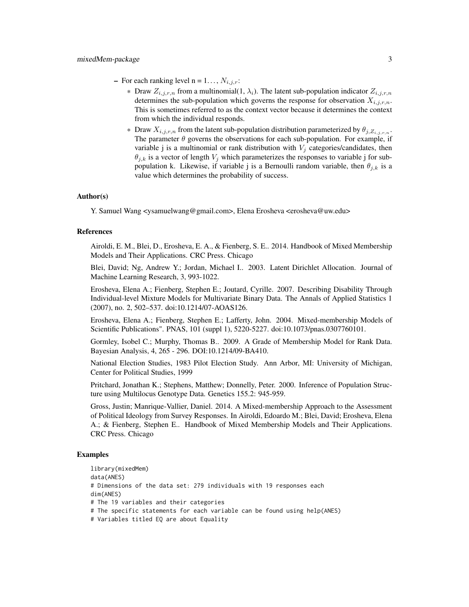- For each ranking level  $n = 1...$ ,  $N_{i,j,r}$ :
	- \* Draw  $Z_{i,j,r,n}$  from a multinomial(1,  $\lambda_i$ ). The latent sub-population indicator  $Z_{i,j,r,n}$ determines the sub-population which governs the response for observation  $X_{i,j,r,n}$ . This is sometimes referred to as the context vector because it determines the context from which the individual responds.
	- \* Draw  $X_{i,j,r,n}$  from the latent sub-population distribution parameterized by  $\theta_{j,Z_{i,j,r,n}}$ . The parameter  $\theta$  governs the observations for each sub-population. For example, if variable j is a multinomial or rank distribution with  $V_i$  categories/candidates, then  $\theta_{j,k}$  is a vector of length  $V_j$  which parameterizes the responses to variable j for subpopulation k. Likewise, if variable j is a Bernoulli random variable, then  $\theta_{j,k}$  is a value which determines the probability of success.

#### Author(s)

Y. Samuel Wang <ysamuelwang@gmail.com>, Elena Erosheva <erosheva@uw.edu>

#### References

Airoldi, E. M., Blei, D., Erosheva, E. A., & Fienberg, S. E.. 2014. Handbook of Mixed Membership Models and Their Applications. CRC Press. Chicago

Blei, David; Ng, Andrew Y.; Jordan, Michael I.. 2003. Latent Dirichlet Allocation. Journal of Machine Learning Research, 3, 993-1022.

Erosheva, Elena A.; Fienberg, Stephen E.; Joutard, Cyrille. 2007. Describing Disability Through Individual-level Mixture Models for Multivariate Binary Data. The Annals of Applied Statistics 1 (2007), no. 2, 502–537. doi:10.1214/07-AOAS126.

Erosheva, Elena A.; Fienberg, Stephen E.; Lafferty, John. 2004. Mixed-membership Models of Scientific Publications". PNAS, 101 (suppl 1), 5220-5227. doi:10.1073/pnas.0307760101.

Gormley, Isobel C.; Murphy, Thomas B.. 2009. A Grade of Membership Model for Rank Data. Bayesian Analysis, 4, 265 - 296. DOI:10.1214/09-BA410.

National Election Studies, 1983 Pilot Election Study. Ann Arbor, MI: University of Michigan, Center for Political Studies, 1999

Pritchard, Jonathan K.; Stephens, Matthew; Donnelly, Peter. 2000. Inference of Population Structure using Multilocus Genotype Data. Genetics 155.2: 945-959.

Gross, Justin; Manrique-Vallier, Daniel. 2014. A Mixed-membership Approach to the Assessment of Political Ideology from Survey Responses. In Airoldi, Edoardo M.; Blei, David; Erosheva, Elena A.; & Fienberg, Stephen E.. Handbook of Mixed Membership Models and Their Applications. CRC Press. Chicago

# Examples

library(mixedMem) data(ANES) # Dimensions of the data set: 279 individuals with 19 responses each dim(ANES) # The 19 variables and their categories # The specific statements for each variable can be found using help(ANES) # Variables titled EQ are about Equality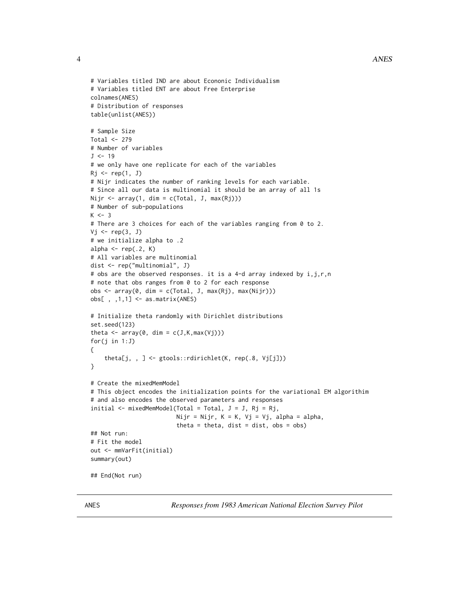```
# Variables titled IND are about Econonic Individualism
# Variables titled ENT are about Free Enterprise
colnames(ANES)
# Distribution of responses
table(unlist(ANES))
# Sample Size
Total <- 279
# Number of variables
J < -19# we only have one replicate for each of the variables
Rj \leftarrow rep(1, J)# Nijr indicates the number of ranking levels for each variable.
# Since all our data is multinomial it should be an array of all 1s
Nijr <- array(1, dim = c(Total, J, max(Rj)))
# Number of sub-populations
K < -3# There are 3 choices for each of the variables ranging from 0 to 2.
Vj \leftarrow rep(3, J)# we initialize alpha to .2
alpha \leq rep(.2, K)
# All variables are multinomial
dist <- rep("multinomial", J)
# obs are the observed responses. it is a 4-d array indexed by i,j,r,n
# note that obs ranges from 0 to 2 for each response
obs \leq array(0, dim = c(Total, J, max(Rj), max(Nijr)))obs[ , ,1,1] <- as.matrix(ANES)
# Initialize theta randomly with Dirichlet distributions
set.seed(123)
theta \leq array(0, dim = c(J,K,max(Vj)))for(j in 1:J)
{
    theta[j, , ] <- gtools::rdirichlet(K, rep(.8, Vj[j]))
}
# Create the mixedMemModel
# This object encodes the initialization points for the variational EM algorithim
# and also encodes the observed parameters and responses
initial \leq mixedMemModel(Total = Total, J = J, Rj = Rj,
                         Nijr = Nijr, K = K, Vj = Vj, alpha = alpha,
                         theta = theta, dist = dist, obs = obs)
## Not run:
# Fit the model
out <- mmVarFit(initial)
summary(out)
## End(Not run)
```
ANES *Responses from 1983 American National Election Survey Pilot*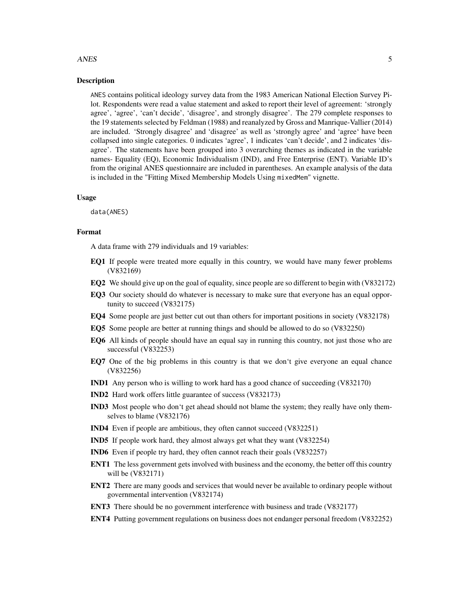#### ANES 5

# Description

ANES contains political ideology survey data from the 1983 American National Election Survey Pilot. Respondents were read a value statement and asked to report their level of agreement: 'strongly agree', 'agree', 'can't decide', 'disagree', and strongly disagree'. The 279 complete responses to the 19 statements selected by Feldman (1988) and reanalyzed by Gross and Manrique-Vallier (2014) are included. 'Strongly disagree' and 'disagree' as well as 'strongly agree' and 'agree' have been collapsed into single categories. 0 indicates 'agree', 1 indicates 'can't decide', and 2 indicates 'disagree'. The statements have been grouped into 3 overarching themes as indicated in the variable names- Equality (EQ), Economic Individualism (IND), and Free Enterprise (ENT). Variable ID's from the original ANES questionnaire are included in parentheses. An example analysis of the data is included in the "Fitting Mixed Membership Models Using mixedMem" vignette.

### Usage

data(ANES)

# Format

A data frame with 279 individuals and 19 variables:

- EQ1 If people were treated more equally in this country, we would have many fewer problems (V832169)
- EQ2 We should give up on the goal of equality, since people are so different to begin with  $(V832172)$
- EQ3 Our society should do whatever is necessary to make sure that everyone has an equal opportunity to succeed (V832175)
- EQ4 Some people are just better cut out than others for important positions in society (V832178)
- EQ5 Some people are better at running things and should be allowed to do so (V832250)
- EQ6 All kinds of people should have an equal say in running this country, not just those who are successful (V832253)
- EQ7 One of the big problems in this country is that we don't give everyone an equal chance (V832256)
- IND1 Any person who is willing to work hard has a good chance of succeeding (V832170)
- IND2 Hard work offers little guarantee of success (V832173)
- IND3 Most people who don't get ahead should not blame the system; they really have only themselves to blame (V832176)
- IND4 Even if people are ambitious, they often cannot succeed (V832251)
- IND5 If people work hard, they almost always get what they want (V832254)
- IND6 Even if people try hard, they often cannot reach their goals (V832257)
- ENT1 The less government gets involved with business and the economy, the better off this country will be (V832171)
- ENT2 There are many goods and services that would never be available to ordinary people without governmental intervention (V832174)
- ENT3 There should be no government interference with business and trade (V832177)
- ENT4 Putting government regulations on business does not endanger personal freedom (V832252)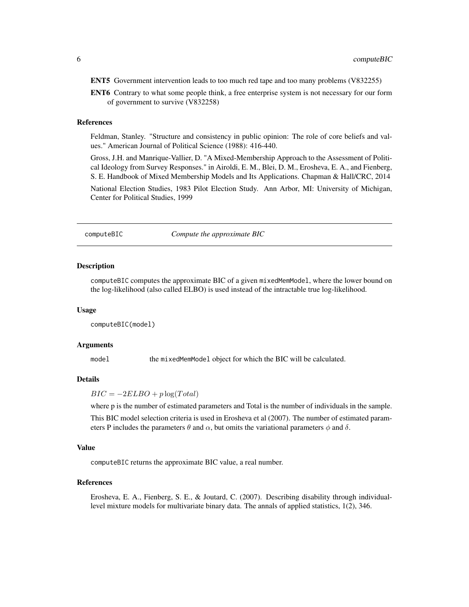<span id="page-5-0"></span>ENT5 Government intervention leads to too much red tape and too many problems (V832255)

ENT6 Contrary to what some people think, a free enterprise system is not necessary for our form of government to survive (V832258)

# References

Feldman, Stanley. "Structure and consistency in public opinion: The role of core beliefs and values." American Journal of Political Science (1988): 416-440.

Gross, J.H. and Manrique-Vallier, D. "A Mixed-Membership Approach to the Assessment of Political Ideology from Survey Responses." in Airoldi, E. M., Blei, D. M., Erosheva, E. A., and Fienberg, S. E. Handbook of Mixed Membership Models and Its Applications. Chapman & Hall/CRC, 2014

National Election Studies, 1983 Pilot Election Study. Ann Arbor, MI: University of Michigan, Center for Political Studies, 1999

computeBIC *Compute the approximate BIC*

#### Description

computeBIC computes the approximate BIC of a given mixedMemModel, where the lower bound on the log-likelihood (also called ELBO) is used instead of the intractable true log-likelihood.

#### Usage

computeBIC(model)

### Arguments

model the mixedMemModel object for which the BIC will be calculated.

# **Details**

 $BIC = -2ELBO + p \log(Total)$ 

where p is the number of estimated parameters and Total is the number of individuals in the sample.

This BIC model selection criteria is used in Erosheva et al (2007). The number of estimated parameters P includes the parameters  $\theta$  and  $\alpha$ , but omits the variational parameters  $\phi$  and  $\delta$ .

#### Value

computeBIC returns the approximate BIC value, a real number.

#### References

Erosheva, E. A., Fienberg, S. E., & Joutard, C. (2007). Describing disability through individuallevel mixture models for multivariate binary data. The annals of applied statistics, 1(2), 346.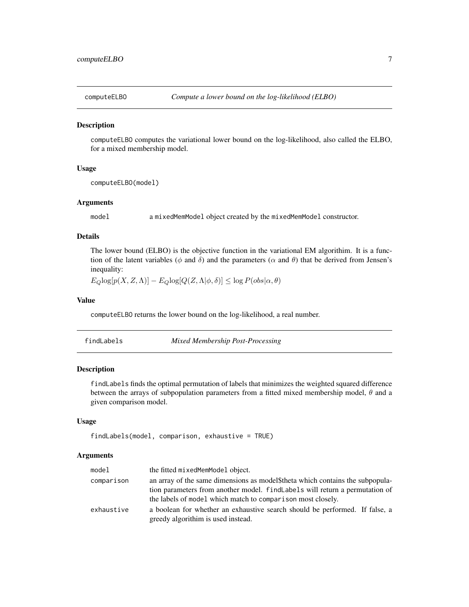<span id="page-6-0"></span>

computeELBO computes the variational lower bound on the log-likelihood, also called the ELBO, for a mixed membership model.

# Usage

computeELBO(model)

# Arguments

model a mixedMemModel object created by the mixedMemModel constructor.

#### Details

The lower bound (ELBO) is the objective function in the variational EM algorithim. It is a function of the latent variables ( $\phi$  and  $\delta$ ) and the parameters ( $\alpha$  and  $\theta$ ) that be derived from Jensen's inequality:

 $E_Q \log[p(X, Z, \Lambda)] - E_Q \log[Q(Z, \Lambda | \phi, \delta)] \leq \log P(obs | \alpha, \theta)$ 

# Value

computeELBO returns the lower bound on the log-likelihood, a real number.

| findLabels |  |  |
|------------|--|--|
|            |  |  |
|            |  |  |

*Mixed Membership Post-Processing* 

#### Description

findLabels finds the optimal permutation of labels that minimizes the weighted squared difference between the arrays of subpopulation parameters from a fitted mixed membership model,  $\theta$  and a given comparison model.

# Usage

```
findLabels(model, comparison, exhaustive = TRUE)
```

| model      | the fitted mixedMemModel object.                                             |
|------------|------------------------------------------------------------------------------|
| comparison | an array of the same dimensions as model the sub-                            |
|            | tion parameters from another model. find Labels will return a permutation of |
|            | the labels of model which match to comparison most closely.                  |
| exhaustive | a boolean for whether an exhaustive search should be performed. If false, a  |
|            | greedy algorithim is used instead.                                           |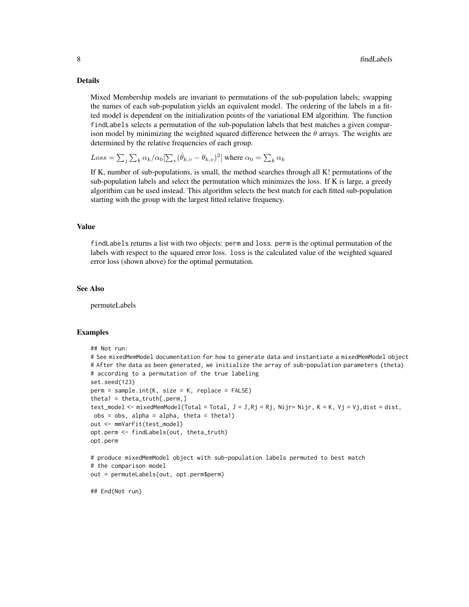Mixed Membership models are invariant to permutations of the sub-population labels; swapping the names of each sub-population yields an equivalent model. The ordering of the labels in a fitted model is dependent on the initialization points of the variational EM algorithim. The function findLabels selects a permutation of the sub-population labels that best matches a given comparison model by minimizing the weighted squared difference between the  $\theta$  arrays. The weights are determined by the relative frequencies of each group.

 $Loss = \sum_j \sum_k \alpha_k / \alpha_0 [\sum_v (\hat{\theta}_{k,v} - \theta_{k,v})^2]$  where  $\alpha_0 = \sum_k \alpha_k$ 

If K, number of sub-populations, is small, the method searches through all K! permutations of the sub-population labels and select the permutation which minimizes the loss. If K is large, a greedy algorithim can be used instead. This algorithm selects the best match for each fitted sub-population starting with the group with the largest fitted relative frequency.

# Value

findLabels returns a list with two objects: perm and loss. perm is the optimal permutation of the labels with respect to the squared error loss. loss is the calculated value of the weighted squared error loss (shown above) for the optimal permutation.

#### See Also

permuteLabels

#### Examples

```
## Not run:
# See mixedMemModel documentation for how to generate data and instantiate a mixedMemModel object
# After the data as been generated, we initialize the array of sub-population parameters (theta)
# according to a permutation of the true labeling
set.seed(123)
perm = sample.int(K, size = K, replace = FALSE)
theta1 = theta_truth[, perm,]
test_model <- mixedMemModel(Total = Total, J = J,Rj = Rj, Nijr= Nijr, K = K, Vj = Vj,dist = dist,
obs = obs, alpha = alpha, theta = theta1)
out <- mmVarFit(test_model)
opt.perm <- findLabels(out, theta_truth)
opt.perm
# produce mixedMemModel object with sub-population labels permuted to best match
# the comparison model
out = permuteLabels(out, opt.perm$perm)
## End(Not run)
```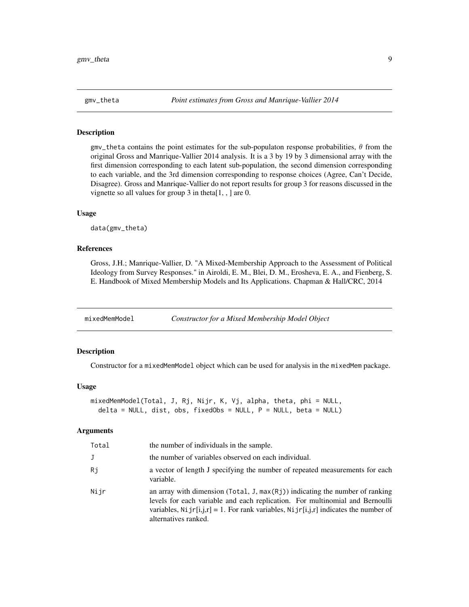<span id="page-8-0"></span>

 $gmv_{\perp}$  theta contains the point estimates for the sub-populaton response probabilities,  $\theta$  from the original Gross and Manrique-Vallier 2014 analysis. It is a 3 by 19 by 3 dimensional array with the first dimension corresponding to each latent sub-population, the second dimension corresponding to each variable, and the 3rd dimension corresponding to response choices (Agree, Can't Decide, Disagree). Gross and Manrique-Vallier do not report results for group 3 for reasons discussed in the vignette so all values for group  $3$  in theta $[1, 1]$  are 0.

# Usage

data(gmv\_theta)

# References

Gross, J.H.; Manrique-Vallier, D. "A Mixed-Membership Approach to the Assessment of Political Ideology from Survey Responses." in Airoldi, E. M., Blei, D. M., Erosheva, E. A., and Fienberg, S. E. Handbook of Mixed Membership Models and Its Applications. Chapman & Hall/CRC, 2014

mixedMemModel *Constructor for a Mixed Membership Model Object*

#### Description

Constructor for a mixedMemModel object which can be used for analysis in the mixedMem package.

# Usage

```
mixedMemModel(Total, J, Rj, Nijr, K, Vj, alpha, theta, phi = NULL,
  delta = NULL, dist, obs, fixedObs = NULL, P = NULL, beta = NULL)
```

| Total | the number of individuals in the sample.                                                                                                                                                                                                                                                 |
|-------|------------------------------------------------------------------------------------------------------------------------------------------------------------------------------------------------------------------------------------------------------------------------------------------|
| J     | the number of variables observed on each individual.                                                                                                                                                                                                                                     |
| Rj    | a vector of length J specifying the number of repeated measurements for each<br>variable.                                                                                                                                                                                                |
| Nijr  | an array with dimension ( $Total, J, max(Rj)$ ) indicating the number of ranking<br>levels for each variable and each replication. For multinomial and Bernoulli<br>variables, Ni $j r[i,j,r] = 1$ . For rank variables, Ni $j r[i,j,r]$ indicates the number of<br>alternatives ranked. |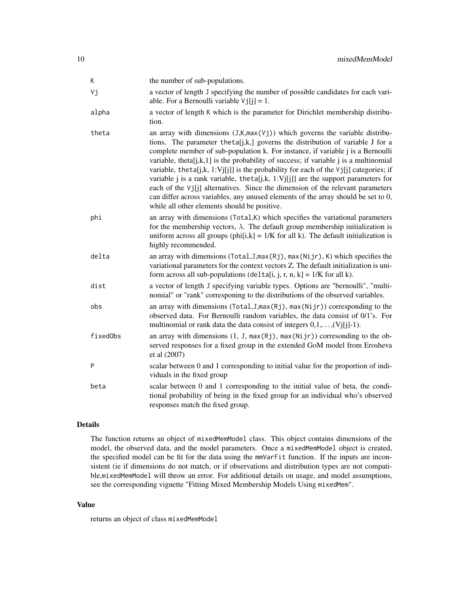| Κ        | the number of sub-populations.                                                                                                                                                                                                                                                                                                                                                                                                                                                                                                                                                                                                                                                                                                                          |
|----------|---------------------------------------------------------------------------------------------------------------------------------------------------------------------------------------------------------------------------------------------------------------------------------------------------------------------------------------------------------------------------------------------------------------------------------------------------------------------------------------------------------------------------------------------------------------------------------------------------------------------------------------------------------------------------------------------------------------------------------------------------------|
| Vj       | a vector of length J specifying the number of possible candidates for each vari-<br>able. For a Bernoulli variable $Vj[i] = 1$ .                                                                                                                                                                                                                                                                                                                                                                                                                                                                                                                                                                                                                        |
| alpha    | a vector of length K which is the parameter for Dirichlet membership distribu-<br>tion.                                                                                                                                                                                                                                                                                                                                                                                                                                                                                                                                                                                                                                                                 |
| theta    | an array with dimensions $(J,K,max(Vj))$ which governs the variable distribu-<br>tions. The parameter theta[j,k,] governs the distribution of variable J for a<br>complete member of sub-population k. For instance, if variable j is a Bernoulli<br>variable, theta[j,k,1] is the probability of success; if variable $j$ is a multinomial<br>variable, the ta[j,k, 1:Vj[j]] is the probability for each of the $Vj[j]$ categories; if<br>variable j is a rank variable, the ta $[j,k, 1:Vj[j]]$ are the support parameters for<br>each of the Vj[j] alternatives. Since the dimension of the relevant parameters<br>can differ across variables, any unused elements of the array should be set to 0,<br>while all other elements should be positive. |
| phi      | an array with dimensions (Total, K) which specifies the variational parameters<br>for the membership vectors, $\lambda$ . The default group membership initialization is<br>uniform across all groups (phi[i,k] = $1/K$ for all k). The default initialization is<br>highly recommended.                                                                                                                                                                                                                                                                                                                                                                                                                                                                |
| delta    | an array with dimensions (Total, J, max (Rj), max (Nijr), K) which specifies the<br>variational parameters for the context vectors Z. The default initialization is uni-<br>form across all sub-populations (delta[i, j, r, n, k] = $1/K$ for all k).                                                                                                                                                                                                                                                                                                                                                                                                                                                                                                   |
| dist     | a vector of length J specifying variable types. Options are "bernoulli", "multi-<br>nomial" or "rank" corresponing to the distributions of the observed variables.                                                                                                                                                                                                                                                                                                                                                                                                                                                                                                                                                                                      |
| obs      | an array with dimensions ( $Total,J,max(Rj)$ , $max(Nijr)$ ) corresponding to the<br>observed data. For Bernoulli random variables, the data consist of 0/1's. For<br>multinomial or rank data the data consist of integers $0,1,\ldots,(Vj[j]-1)$ .                                                                                                                                                                                                                                                                                                                                                                                                                                                                                                    |
| fixedObs | an array with dimensions $(1, J, max(Rj), max(Nijr))$ corresonding to the ob-<br>served responses for a fixed group in the extended GoM model from Erosheva<br>et al (2007)                                                                                                                                                                                                                                                                                                                                                                                                                                                                                                                                                                             |
| P        | scalar between 0 and 1 corresponding to initial value for the proportion of indi-<br>viduals in the fixed group                                                                                                                                                                                                                                                                                                                                                                                                                                                                                                                                                                                                                                         |
| beta     | scalar between 0 and 1 corresponding to the initial value of beta, the condi-<br>tional probability of being in the fixed group for an individual who's observed<br>responses match the fixed group.                                                                                                                                                                                                                                                                                                                                                                                                                                                                                                                                                    |

The function returns an object of mixedMemModel class. This object contains dimensions of the model, the observed data, and the model parameters. Once a mixedMemModel object is created, the specified model can be fit for the data using the mmVarFit function. If the inputs are inconsistent (ie if dimensions do not match, or if observations and distribution types are not compatible,mixedMemModel will throw an error. For additional details on usage, and model assumptions, see the corresponding vignette "Fitting Mixed Membership Models Using mixedMem".

# Value

returns an object of class mixedMemModel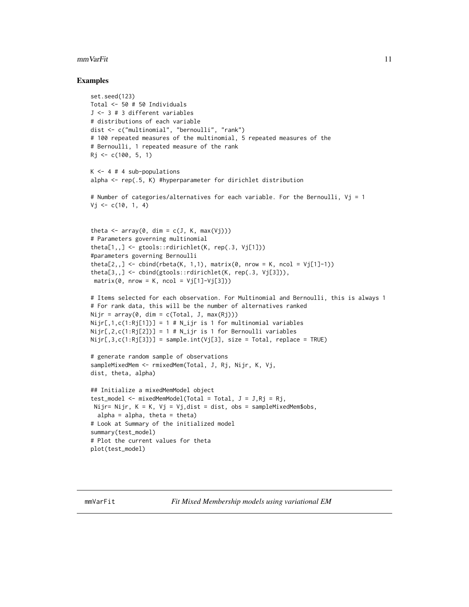#### <span id="page-10-0"></span> $mmVarFit$  11

#### Examples

```
set.seed(123)
Total <- 50 # 50 Individuals
J <- 3 # 3 different variables
# distributions of each variable
dist <- c("multinomial", "bernoulli", "rank")
# 100 repeated measures of the multinomial, 5 repeated measures of the
# Bernoulli, 1 repeated measure of the rank
Rj \leq -c(100, 5, 1)K \le -4 # 4 sub-populations
alpha <- rep(.5, K) #hyperparameter for dirichlet distribution
# Number of categories/alternatives for each variable. For the Bernoulli, Vj = 1
Vj \leq c(10, 1, 4)theta \leq array(0, dim = c(J, K, max(Vj)))
# Parameters governing multinomial
theta[1,,] <- gtools::rdirichlet(K, rep(.3, Vj[1]))
#parameters governing Bernoulli
theta[2,,] <- cbind(rbeta(K, 1,1), matrix(0, nrow = K, ncol = Vj[1]-1))
theta[3,,] <- cbind(gtools::rdirichlet(K, rep(.3, Vj[3])),
matrix(0, nrow = K, ncol = Vj[1]-Vj[3]))# Items selected for each observation. For Multinomial and Bernoulli, this is always 1
# For rank data, this will be the number of alternatives ranked
Nijr = array(0, dim = c(Total, J, max(Rj)))Nijr[,1,c(1:Rj[1])]=1 # N_ijri is 1 for multinomial variablesNijr[,2,c(1:Rj[2])]=1 \# N_{ij}r is 1 for Bernoulli variables
Nijr[,3,c(1:Rj[3])] = sample.int(Vj[3], size = Total, replace = TRUE)
# generate random sample of observations
sampleMixedMem <- rmixedMem(Total, J, Rj, Nijr, K, Vj,
dist, theta, alpha)
## Initialize a mixedMemModel object
test_model <- mixedMemModel(Total = Total, J = J, Rj = Rj,
Nijr= Nijr, K = K, Vj = Vj,dist = dist, obs = sampleMixedMem$obs,
  alpha = alpha, theta = theta)
# Look at Summary of the initialized model
summary(test_model)
# Plot the current values for theta
plot(test_model)
```
mmVarFit *Fit Mixed Membership models using variational EM*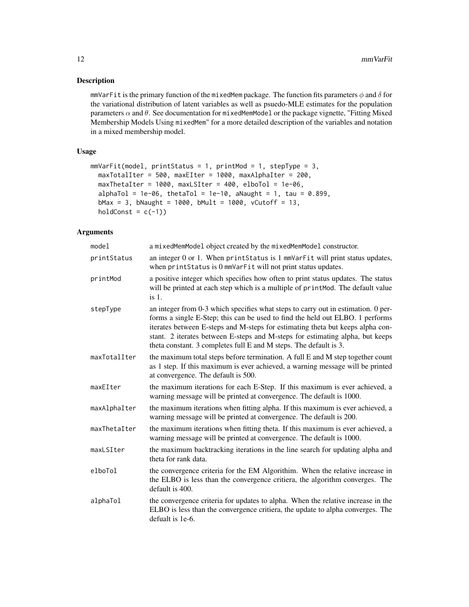mmVarFit is the primary function of the mixedMem package. The function fits parameters  $\phi$  and  $\delta$  for the variational distribution of latent variables as well as psuedo-MLE estimates for the population parameters  $\alpha$  and  $\theta$ . See documentation for mixedMemModel or the package vignette, "Fitting Mixed Membership Models Using mixedMem" for a more detailed description of the variables and notation in a mixed membership model.

# Usage

```
mmVarFit(model, printStatus = 1, printMod = 1, stepType = 3,
 maxTotalIter = 500, maxEIter = 1000, maxAlphaIter = 200,
 maxThetaIter = 1000, maxLSIter = 400, elboTol = 1e-06,
  alphaTol = 1e-06, thetaTol = 1e-10, aNaught = 1, tau = 0.899,
  bMax = 3, bNaught = 1000, bMult = 1000, vCutoff = 13,
 holdConst = c(-1))
```

| model        | a mixedMemModel object created by the mixedMemModel constructor.                                                                                                                                                                                                                                                                                                                                           |
|--------------|------------------------------------------------------------------------------------------------------------------------------------------------------------------------------------------------------------------------------------------------------------------------------------------------------------------------------------------------------------------------------------------------------------|
| printStatus  | an integer 0 or 1. When printStatus is 1 mmVarFit will print status updates,<br>when printStatus is 0 mmVarFit will not print status updates.                                                                                                                                                                                                                                                              |
| printMod     | a positive integer which specifies how often to print status updates. The status<br>will be printed at each step which is a multiple of print Mod. The default value<br>$is1$ .                                                                                                                                                                                                                            |
| stepType     | an integer from 0-3 which specifies what steps to carry out in estimation. 0 per-<br>forms a single E-Step; this can be used to find the held out ELBO. 1 performs<br>iterates between E-steps and M-steps for estimating theta but keeps alpha con-<br>stant. 2 iterates between E-steps and M-steps for estimating alpha, but keeps<br>theta constant. 3 completes full E and M steps. The default is 3. |
| maxTotalIter | the maximum total steps before termination. A full E and M step together count<br>as 1 step. If this maximum is ever achieved, a warning message will be printed<br>at convergence. The default is 500.                                                                                                                                                                                                    |
| maxEIter     | the maximum iterations for each E-Step. If this maximum is ever achieved, a<br>warning message will be printed at convergence. The default is 1000.                                                                                                                                                                                                                                                        |
| maxAlphaIter | the maximum iterations when fitting alpha. If this maximum is ever achieved, a<br>warning message will be printed at convergence. The default is 200.                                                                                                                                                                                                                                                      |
| maxThetaIter | the maximum iterations when fitting theta. If this maximum is ever achieved, a<br>warning message will be printed at convergence. The default is 1000.                                                                                                                                                                                                                                                     |
| maxLSIter    | the maximum backtracking iterations in the line search for updating alpha and<br>theta for rank data.                                                                                                                                                                                                                                                                                                      |
| elboTol      | the convergence criteria for the EM Algorithim. When the relative increase in<br>the ELBO is less than the convergence critiera, the algorithm converges. The<br>default is 400.                                                                                                                                                                                                                           |
| alphaTol     | the convergence criteria for updates to alpha. When the relative increase in the<br>ELBO is less than the convergence critiera, the update to alpha converges. The<br>defualt is 1e-6.                                                                                                                                                                                                                     |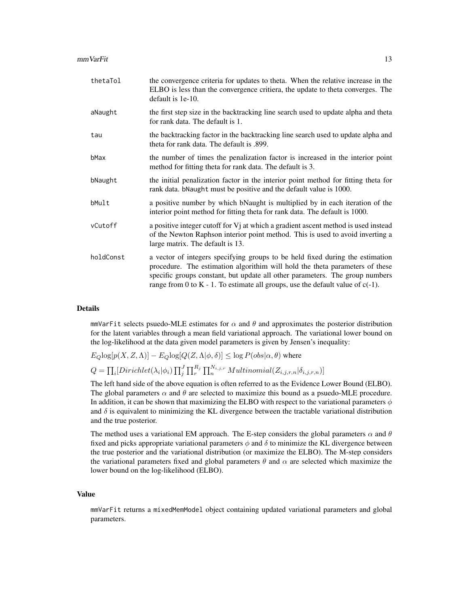| thetaTol  | the convergence criteria for updates to theta. When the relative increase in the<br>ELBO is less than the convergence critiera, the update to theta converges. The<br>default is 1e-10.                                                                                                                                               |
|-----------|---------------------------------------------------------------------------------------------------------------------------------------------------------------------------------------------------------------------------------------------------------------------------------------------------------------------------------------|
| aNaught   | the first step size in the backtracking line search used to update alpha and theta<br>for rank data. The default is 1.                                                                                                                                                                                                                |
| tau       | the backtracking factor in the backtracking line search used to update alpha and<br>theta for rank data. The default is .899.                                                                                                                                                                                                         |
| bMax      | the number of times the penalization factor is increased in the interior point<br>method for fitting theta for rank data. The default is 3.                                                                                                                                                                                           |
| bNaught   | the initial penalization factor in the interior point method for fitting theta for<br>rank data. bNaught must be positive and the default value is 1000.                                                                                                                                                                              |
| bMult     | a positive number by which bNaught is multiplied by in each iteration of the<br>interior point method for fitting theta for rank data. The default is 1000.                                                                                                                                                                           |
| vCutoff   | a positive integer cutoff for Vj at which a gradient ascent method is used instead<br>of the Newton Raphson interior point method. This is used to avoid inverting a<br>large matrix. The default is 13.                                                                                                                              |
| holdConst | a vector of integers specifying groups to be held fixed during the estimation<br>procedure. The estimation algorithim will hold the theta parameters of these<br>specific groups constant, but update all other parameters. The group numbers<br>range from 0 to $K - 1$ . To estimate all groups, use the default value of $c(-1)$ . |

mmVarFit selects psuedo-MLE estimates for  $\alpha$  and  $\theta$  and approximates the posterior distribution for the latent variables through a mean field variational approach. The variational lower bound on the log-likelihood at the data given model parameters is given by Jensen's inequality:

 $E_Q$ log $[p(X, Z, \Lambda)] - E_Q$ log $[Q(Z, \Lambda | \phi, \delta)] \leq \log P(obs | \alpha, \theta)$  where  $Q = \prod_i [Dirichlet(\lambda_i | \phi_i) \prod_j^J \prod_r^{R_j} \prod_n^{N_{i,j,r}} Multinomial(Z_{i,j,r,n} | \delta_{i,j,r,n})]$ 

The left hand side of the above equation is often referred to as the Evidence Lower Bound (ELBO). The global parameters  $\alpha$  and  $\theta$  are selected to maximize this bound as a psuedo-MLE procedure. In addition, it can be shown that maximizing the ELBO with respect to the variational parameters  $\phi$ and  $\delta$  is equivalent to minimizing the KL divergence between the tractable variational distribution and the true posterior.

The method uses a variational EM approach. The E-step considers the global parameters  $\alpha$  and  $\theta$ fixed and picks appropriate variational parameters  $\phi$  and  $\delta$  to minimize the KL divergence between the true posterior and the variational distribution (or maximize the ELBO). The M-step considers the variational parameters fixed and global parameters  $\theta$  and  $\alpha$  are selected which maximize the lower bound on the log-likelihood (ELBO).

# Value

mmVarFit returns a mixedMemModel object containing updated variational parameters and global parameters.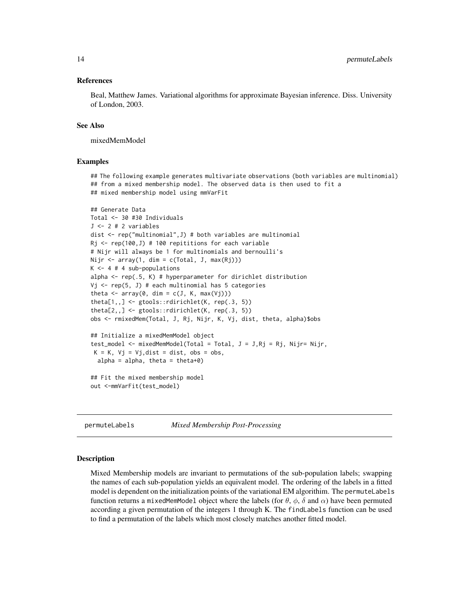### <span id="page-13-0"></span>References

Beal, Matthew James. Variational algorithms for approximate Bayesian inference. Diss. University of London, 2003.

# See Also

mixedMemModel

#### Examples

## The following example generates multivariate observations (both variables are multinomial) ## from a mixed membership model. The observed data is then used to fit a ## mixed membership model using mmVarFit

```
## Generate Data
Total <- 30 #30 Individuals
J <- 2 # 2 variables
dist <- rep("multinomial",J) # both variables are multinomial
Rj \leq rep(100,J) # 100 repititions for each variable
# Nijr will always be 1 for multinomials and bernoulli's
Nijr \leq array(1, dim = c(Total, J, max(Rj)))
K < -4 # 4 sub-populations
alpha \leq rep(.5, K) # hyperparameter for dirichlet distribution
Vj \leftarrow rep(5, J) # each multinomial has 5 categories
theta \leq array(0, dim = c(J, K, max(Vj)))
theta[1, 1] \leftarrow getools::rdirichlet(K, rep(.3, 5))theta[2, 1] \leftarrow getools::rdirichlet(K, rep(.3, 5))obs <- rmixedMem(Total, J, Rj, Nijr, K, Vj, dist, theta, alpha)$obs
## Initialize a mixedMemModel object
test_model <- mixedMemModel(Total = Total, J = J, Rj = Rj, Nijr= Nijr,
 K = K, Vj = Vj, dist = dist, obs = obs,
  alpha = alpha, theta = theta+\emptyset)
## Fit the mixed membership model
out <-mmVarFit(test_model)
```
permuteLabels *Mixed Membership Post-Processing*

#### Description

Mixed Membership models are invariant to permutations of the sub-population labels; swapping the names of each sub-population yields an equivalent model. The ordering of the labels in a fitted model is dependent on the initialization points of the variational EM algorithim. The permuteLabels function returns a mixedMemModel object where the labels (for  $\theta$ ,  $\phi$ ,  $\delta$  and  $\alpha$ ) have been permuted according a given permutation of the integers 1 through K. The findLabels function can be used to find a permutation of the labels which most closely matches another fitted model.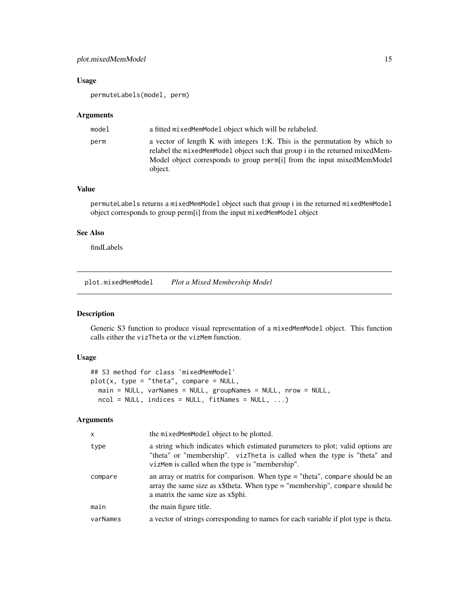# <span id="page-14-0"></span>plot.mixedMemModel 15

# Usage

permuteLabels(model, perm)

#### Arguments

| model | a fitted mixed Mem Model object which will be relabeled.                                                                                                                                                                                           |
|-------|----------------------------------------------------------------------------------------------------------------------------------------------------------------------------------------------------------------------------------------------------|
| perm  | a vector of length K with integers 1:K. This is the permutation by which to<br>relabel the mixed MemModel object such that group i in the returned mixed Mem-<br>Model object corresponds to group perm[i] from the input mixedMemModel<br>object. |

# Value

permuteLabels returns a mixedMemModel object such that group i in the returned mixedMemModel object corresponds to group perm[i] from the input mixedMemModel object

# See Also

findLabels

plot.mixedMemModel *Plot a Mixed Membership Model*

# Description

Generic S3 function to produce visual representation of a mixedMemModel object. This function calls either the vizTheta or the vizMem function.

# Usage

```
## S3 method for class 'mixedMemModel'
plot(x, type = "theta", compare = NULL,main = NULL, varNames = NULL, groupNames = NULL, nrow = NULL,
 ncol = NULL, indices = NULL, fitNames = NULL, ...)
```

| $\times$ | the mixedMemModel object to be plotted.                                                                                                                                                                       |
|----------|---------------------------------------------------------------------------------------------------------------------------------------------------------------------------------------------------------------|
| type     | a string which indicates which estimated parameters to plot; valid options are<br>"theta" or "membership". vizTheta is called when the type is "theta" and<br>vizMem is called when the type is "membership". |
| compare  | an array or matrix for comparison. When type $=$ "theta", compare should be an<br>array the same size as $x$ \$theta. When type = "membership", compare should be<br>a matrix the same size as x\$phi.        |
| main     | the main figure title.                                                                                                                                                                                        |
| varNames | a vector of strings corresponding to names for each variable if plot type is theta.                                                                                                                           |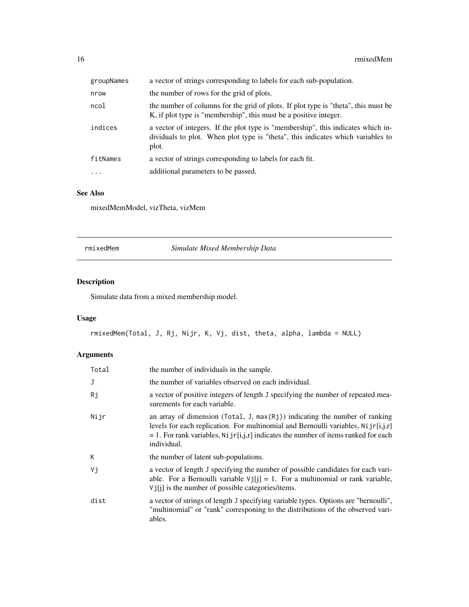<span id="page-15-0"></span>

| groupNames | a vector of strings corresponding to labels for each sub-population.                                                                                                         |
|------------|------------------------------------------------------------------------------------------------------------------------------------------------------------------------------|
| nrow       | the number of rows for the grid of plots.                                                                                                                                    |
| ncol       | the number of columns for the grid of plots. If plot type is "theta", this must be<br>K, if plot type is "membership", this must be a positive integer.                      |
| indices    | a vector of integers. If the plot type is "membership", this indicates which in-<br>dividuals to plot. When plot type is "theta", this indicates which variables to<br>plot. |
| fitNames   | a vector of strings corresponding to labels for each fit.                                                                                                                    |
| $\cdots$   | additional parameters to be passed.                                                                                                                                          |
|            |                                                                                                                                                                              |

# See Also

mixedMemModel, vizTheta, vizMem

rmixedMem *Simulate Mixed Membership Data*

# Description

Simulate data from a mixed membership model.

# Usage

```
rmixedMem(Total, J, Rj, Nijr, K, Vj, dist, theta, alpha, lambda = NULL)
```

| Total | the number of individuals in the sample.                                                                                                                                                                                                                                      |
|-------|-------------------------------------------------------------------------------------------------------------------------------------------------------------------------------------------------------------------------------------------------------------------------------|
| J     | the number of variables observed on each individual.                                                                                                                                                                                                                          |
| Rj    | a vector of positive integers of length J specifying the number of repeated mea-<br>surements for each variable.                                                                                                                                                              |
| Nijr  | an array of dimension (Total, J, $max(Rj)$ ) indicating the number of ranking<br>levels for each replication. For multinomial and Bernoulli variables, $Nijr[i,j,r]$<br>$= 1$ . For rank variables, Ni jr[i,j,r] indicates the number of items ranked for each<br>individual. |
| К     | the number of latent sub-populations.                                                                                                                                                                                                                                         |
| Vi    | a vector of length J specifying the number of possible candidates for each vari-<br>able. For a Bernoulli variable $Vj[j] = 1$ . For a multinomial or rank variable,<br>$Vj[i]$ is the number of possible categories/items.                                                   |
| dist  | a vector of strings of length J specifying variable types. Options are "bernoulli",<br>"multinomial" or "rank" corresponing to the distributions of the observed vari-<br>ables.                                                                                              |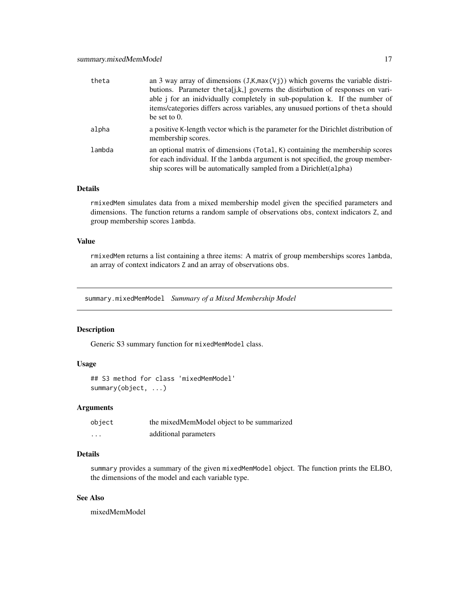<span id="page-16-0"></span>

| theta  | an 3 way array of dimensions $(J,K,\max(Vj))$ which governs the variable distri-                          |
|--------|-----------------------------------------------------------------------------------------------------------|
|        | butions. Parameter the ta[j,k,] governs the distirbution of responses on vari-                            |
|        | able <i>j</i> for an inidvidually completely in sub-population k. If the number of                        |
|        | items/categories differs across variables, any unusued portions of theta should                           |
|        | be set to $0$ .                                                                                           |
| alpha  | a positive K-length vector which is the parameter for the Dirichlet distribution of<br>membership scores. |
| lambda | an optional matrix of dimensions (Total, K) containing the membership scores                              |
|        | for each individual. If the lambda argument is not specified, the group member-                           |
|        | ship scores will be automatically sampled from a Dirichlet (alpha)                                        |

rmixedMem simulates data from a mixed membership model given the specified parameters and dimensions. The function returns a random sample of observations obs, context indicators Z, and group membership scores lambda.

# Value

rmixedMem returns a list containing a three items: A matrix of group memberships scores lambda, an array of context indicators Z and an array of observations obs.

summary.mixedMemModel *Summary of a Mixed Membership Model*

# Description

Generic S3 summary function for mixedMemModel class.

# Usage

```
## S3 method for class 'mixedMemModel'
summary(object, ...)
```
#### Arguments

| object   | the mixedMemModel object to be summarized |
|----------|-------------------------------------------|
| $\cdots$ | additional parameters                     |

# Details

summary provides a summary of the given mixedMemModel object. The function prints the ELBO, the dimensions of the model and each variable type.

# See Also

mixedMemModel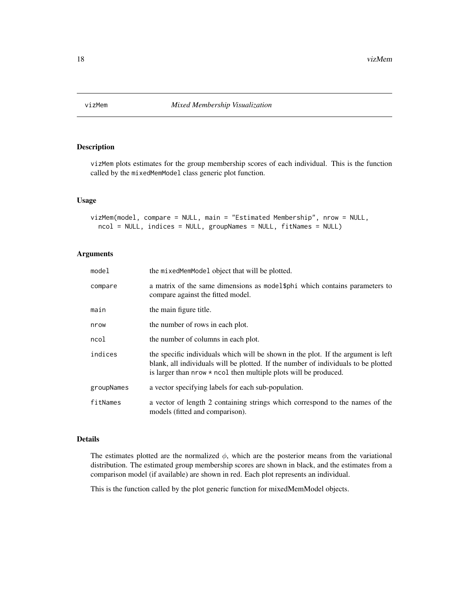<span id="page-17-0"></span>

vizMem plots estimates for the group membership scores of each individual. This is the function called by the mixedMemModel class generic plot function.

#### Usage

```
vizMem(model, compare = NULL, main = "Estimated Membership", nrow = NULL,
  ncol = NULL, indices = NULL, groupNames = NULL, fitNames = NULL)
```
# Arguments

| model      | the mixed Mem Model object that will be plotted.                                                                                                                                                                                                   |
|------------|----------------------------------------------------------------------------------------------------------------------------------------------------------------------------------------------------------------------------------------------------|
| compare    | a matrix of the same dimensions as model \$ph i which contains parameters to<br>compare against the fitted model.                                                                                                                                  |
| main       | the main figure title.                                                                                                                                                                                                                             |
| nrow       | the number of rows in each plot.                                                                                                                                                                                                                   |
| ncol       | the number of columns in each plot.                                                                                                                                                                                                                |
| indices    | the specific individuals which will be shown in the plot. If the argument is left<br>blank, all individuals will be plotted. If the number of individuals to be plotted<br>is larger than $nrow \times ncol$ then multiple plots will be produced. |
| groupNames | a vector specifying labels for each sub-population.                                                                                                                                                                                                |
| fitNames   | a vector of length 2 containing strings which correspond to the names of the<br>models (fitted and comparison).                                                                                                                                    |

# Details

The estimates plotted are the normalized  $\phi$ , which are the posterior means from the variational distribution. The estimated group membership scores are shown in black, and the estimates from a comparison model (if available) are shown in red. Each plot represents an individual.

This is the function called by the plot generic function for mixedMemModel objects.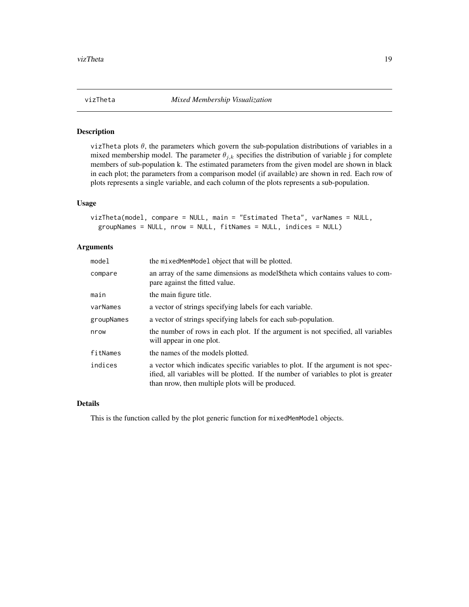<span id="page-18-0"></span>

vizTheta plots  $\theta$ , the parameters which govern the sub-population distributions of variables in a mixed membership model. The parameter  $\theta_{j,k}$  specifies the distribution of variable j for complete members of sub-population k. The estimated parameters from the given model are shown in black in each plot; the parameters from a comparison model (if available) are shown in red. Each row of plots represents a single variable, and each column of the plots represents a sub-population.

# Usage

```
vizTheta(model, compare = NULL, main = "Estimated Theta", varNames = NULL,
 groupNames = NULL, nrow = NULL, fitNames = NULL, indices = NULL)
```
# Arguments

| model      | the mixed Mem Model object that will be plotted.                                                                                                                                                                             |
|------------|------------------------------------------------------------------------------------------------------------------------------------------------------------------------------------------------------------------------------|
| compare    | an array of the same dimensions as model\$theta which contains values to com-<br>pare against the fitted value.                                                                                                              |
| main       | the main figure title.                                                                                                                                                                                                       |
| varNames   | a vector of strings specifying labels for each variable.                                                                                                                                                                     |
| groupNames | a vector of strings specifying labels for each sub-population.                                                                                                                                                               |
| nrow       | the number of rows in each plot. If the argument is not specified, all variables<br>will appear in one plot.                                                                                                                 |
| fitNames   | the names of the models plotted.                                                                                                                                                                                             |
| indices    | a vector which indicates specific variables to plot. If the argument is not spec-<br>ified, all variables will be plotted. If the number of variables to plot is greater<br>than prow, then multiple plots will be produced. |

# Details

This is the function called by the plot generic function for mixedMemModel objects.